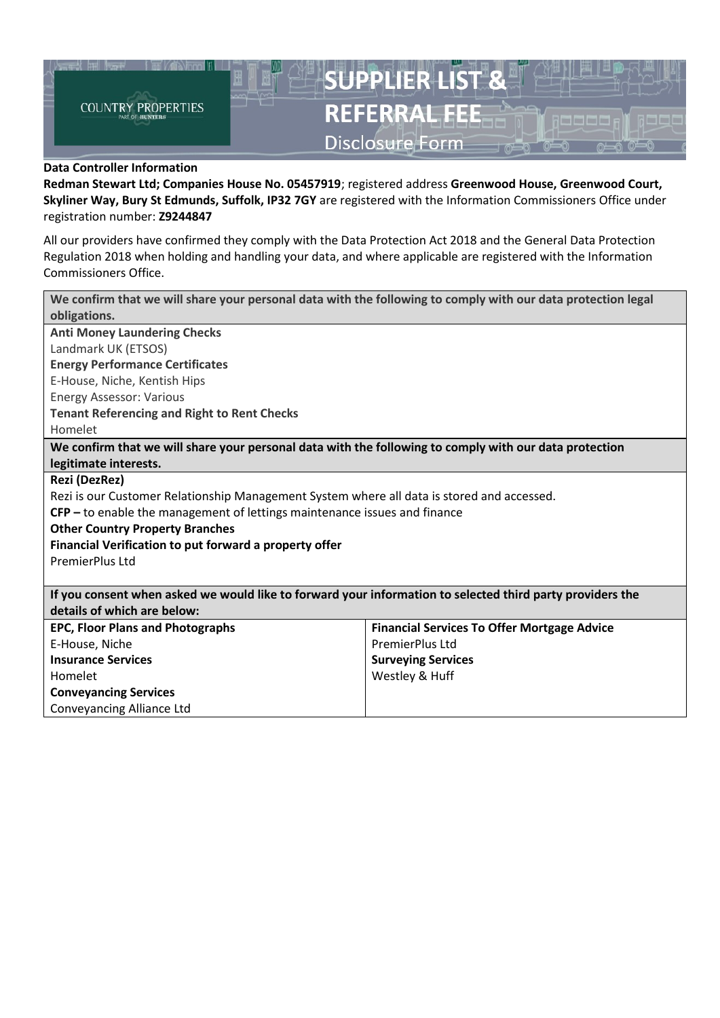

## **Data Controller Information**

**Redman Stewart Ltd; Companies House No. 05457919**; registered address **Greenwood House, Greenwood Court, Skyliner Way, Bury St Edmunds, Suffolk, IP32 7GY** are registered with the Information Commissioners Office under registration number: **Z9244847**

All our providers have confirmed they comply with the Data Protection Act 2018 and the General Data Protection Regulation 2018 when holding and handling your data, and where applicable are registered with the Information Commissioners Office.

| We confirm that we will share your personal data with the following to comply with our data protection legal |                                                    |  |  |  |  |  |
|--------------------------------------------------------------------------------------------------------------|----------------------------------------------------|--|--|--|--|--|
| obligations.                                                                                                 |                                                    |  |  |  |  |  |
| <b>Anti Money Laundering Checks</b>                                                                          |                                                    |  |  |  |  |  |
| Landmark UK (ETSOS)                                                                                          |                                                    |  |  |  |  |  |
| <b>Energy Performance Certificates</b>                                                                       |                                                    |  |  |  |  |  |
| E-House, Niche, Kentish Hips                                                                                 |                                                    |  |  |  |  |  |
| <b>Energy Assessor: Various</b>                                                                              |                                                    |  |  |  |  |  |
| <b>Tenant Referencing and Right to Rent Checks</b>                                                           |                                                    |  |  |  |  |  |
| Homelet                                                                                                      |                                                    |  |  |  |  |  |
| We confirm that we will share your personal data with the following to comply with our data protection       |                                                    |  |  |  |  |  |
| legitimate interests.                                                                                        |                                                    |  |  |  |  |  |
| Rezi (DezRez)                                                                                                |                                                    |  |  |  |  |  |
| Rezi is our Customer Relationship Management System where all data is stored and accessed.                   |                                                    |  |  |  |  |  |
| $CFP$ – to enable the management of lettings maintenance issues and finance                                  |                                                    |  |  |  |  |  |
| <b>Other Country Property Branches</b>                                                                       |                                                    |  |  |  |  |  |
| Financial Verification to put forward a property offer                                                       |                                                    |  |  |  |  |  |
| PremierPlus Ltd                                                                                              |                                                    |  |  |  |  |  |
|                                                                                                              |                                                    |  |  |  |  |  |
| If you consent when asked we would like to forward your information to selected third party providers the    |                                                    |  |  |  |  |  |
| details of which are below:                                                                                  |                                                    |  |  |  |  |  |
| <b>EPC, Floor Plans and Photographs</b>                                                                      | <b>Financial Services To Offer Mortgage Advice</b> |  |  |  |  |  |
| E-House, Niche                                                                                               | PremierPlus Ltd                                    |  |  |  |  |  |
| <b>Insurance Services</b>                                                                                    | <b>Surveying Services</b>                          |  |  |  |  |  |
| Homelet                                                                                                      | Westley & Huff                                     |  |  |  |  |  |
| <b>Conveyancing Services</b>                                                                                 |                                                    |  |  |  |  |  |
| Conveyancing Alliance Ltd                                                                                    |                                                    |  |  |  |  |  |